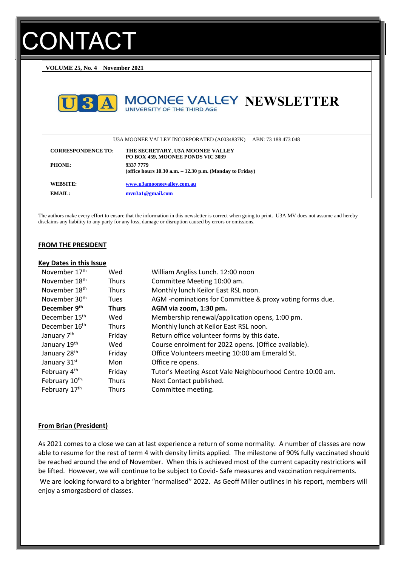# **ONTACT**

**VOLUME 25, No. 4 November 2021**



The authors make every effort to ensure that the information in this newsletter is correct when going to print. U3A MV does not assume and hereby disclaims any liability to any party for any loss, damage or disruption caused by errors or omissions.

#### **FROM THE PRESIDENT**

#### **Key Dates in this Issue**

| November 17th             | Wed          | William Angliss Lunch. 12:00 noon                         |
|---------------------------|--------------|-----------------------------------------------------------|
| November 18th             | <b>Thurs</b> | Committee Meeting 10:00 am.                               |
| November 18th             | <b>Thurs</b> | Monthly lunch Keilor East RSL noon.                       |
| November 30th             | <b>Tues</b>  | AGM -nominations for Committee & proxy voting forms due.  |
| December 9th              | <b>Thurs</b> | AGM via zoom, 1:30 pm.                                    |
| December 15 <sup>th</sup> | Wed          | Membership renewal/application opens, 1:00 pm.            |
| December 16 <sup>th</sup> | <b>Thurs</b> | Monthly lunch at Keilor East RSL noon.                    |
| January 7 <sup>th</sup>   | Friday       | Return office volunteer forms by this date.               |
| January 19th              | Wed          | Course enrolment for 2022 opens. (Office available).      |
| January 28th              | Friday       | Office Volunteers meeting 10:00 am Emerald St.            |
| January 31st              | Mon          | Office re opens.                                          |
| February 4 <sup>th</sup>  | Friday       | Tutor's Meeting Ascot Vale Neighbourhood Centre 10:00 am. |
| February 10th.            | <b>Thurs</b> | Next Contact published.                                   |
| February 17th             | <b>Thurs</b> | Committee meeting.                                        |

#### **From Brian (President)**

As 2021 comes to a close we can at last experience a return of some normality. A number of classes are now able to resume for the rest of term 4 with density limits applied. The milestone of 90% fully vaccinated should be reached around the end of November. When this is achieved most of the current capacity restrictions will be lifted. However, we will continue to be subject to Covid- Safe measures and vaccination requirements. We are looking forward to a brighter "normalised" 2022. As Geoff Miller outlines in his report, members will enjoy a smorgasbord of classes.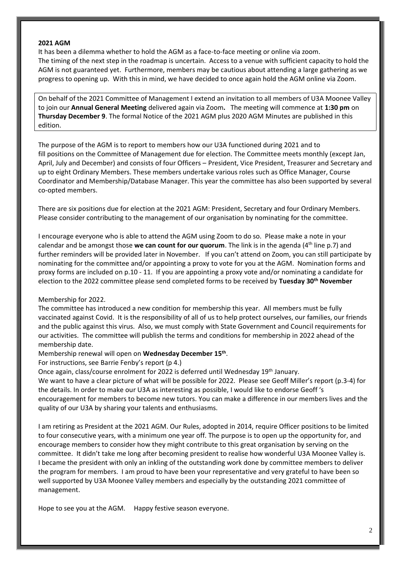#### **2021 AGM**

It has been a dilemma whether to hold the AGM as a face-to-face meeting or online via zoom. The timing of the next step in the roadmap is uncertain. Access to a venue with sufficient capacity to hold the AGM is not guaranteed yet. Furthermore, members may be cautious about attending a large gathering as we progress to opening up. With this in mind, we have decided to once again hold the AGM online via Zoom.

On behalf of the 2021 Committee of Management I extend an invitation to all members of U3A Moonee Valley to join our **Annual General Meeting** delivered again via Zoom**.** The meeting will commence at **1:30 pm** on **Thursday December 9**. The formal Notice of the 2021 AGM plus 2020 AGM Minutes are published in this edition.

The purpose of the AGM is to report to members how our U3A functioned during 2021 and to fill positions on the Committee of Management due for election. The Committee meets monthly (except Jan, April, July and December) and consists of four Officers – President, Vice President, Treasurer and Secretary and up to eight Ordinary Members. These members undertake various roles such as Office Manager, Course Coordinator and Membership/Database Manager. This year the committee has also been supported by several co-opted members.

There are six positions due for election at the 2021 AGM: President, Secretary and four Ordinary Members. Please consider contributing to the management of our organisation by nominating for the committee.

I encourage everyone who is able to attend the AGM using Zoom to do so. Please make a note in your calendar and be amongst those **we can count for our quorum**. The link is in the agenda (4th line p.7) and further reminders will be provided later in November. If you can't attend on Zoom, you can still participate by nominating for the committee and/or appointing a proxy to vote for you at the AGM. Nomination forms and proxy forms are included on p.10 - 11. If you are appointing a proxy vote and/or nominating a candidate for election to the 2022 committee please send completed forms to be received by **Tuesday 30th November**

## Membership for 2022.

The committee has introduced a new condition for membership this year. All members must be fully vaccinated against Covid. It is the responsibility of all of us to help protect ourselves, our families, our friends and the public against this virus. Also, we must comply with State Government and Council requirements for our activities. The committee will publish the terms and conditions for membership in 2022 ahead of the membership date.

Membership renewal will open on **Wednesday December 15 th** .

For instructions, see Barrie Fenby's report (p 4.)

Once again, class/course enrolment for 2022 is deferred until Wednesday 19<sup>th</sup> January.

We want to have a clear picture of what will be possible for 2022. Please see Geoff Miller's report (p.3-4) for the details. In order to make our U3A as interesting as possible, I would like to endorse Geoff 's encouragement for members to become new tutors. You can make a difference in our members lives and the quality of our U3A by sharing your talents and enthusiasms.

I am retiring as President at the 2021 AGM. Our Rules, adopted in 2014, require Officer positions to be limited to four consecutive years, with a minimum one year off. The purpose is to open up the opportunity for, and encourage members to consider how they might contribute to this great organisation by serving on the committee. It didn't take me long after becoming president to realise how wonderful U3A Moonee Valley is. I became the president with only an inkling of the outstanding work done by committee members to deliver the program for members. I am proud to have been your representative and very grateful to have been so well supported by U3A Moonee Valley members and especially by the outstanding 2021 committee of management.

Hope to see you at the AGM. Happy festive season everyone.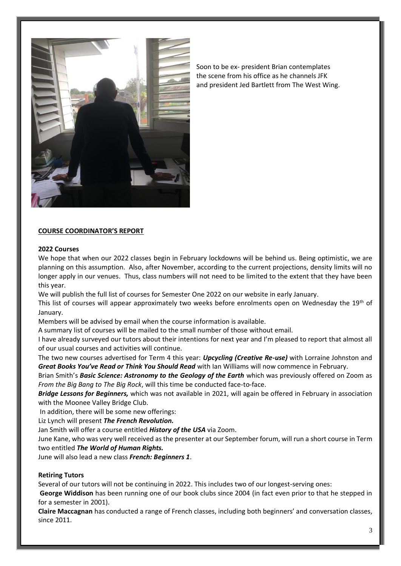

Soon to be ex- president Brian contemplates the scene from his office as he channels JFK and president Jed Bartlett from The West Wing.

## **COURSE COORDINATOR'S REPORT**

#### **2022 Courses**

We hope that when our 2022 classes begin in February lockdowns will be behind us. Being optimistic, we are planning on this assumption. Also, after November, according to the current projections, density limits will no longer apply in our venues. Thus, class numbers will not need to be limited to the extent that they have been this year.

We will publish the full list of courses for Semester One 2022 on our website in early January.

This list of courses will appear approximately two weeks before enrolments open on Wednesday the 19th of January.

Members will be advised by email when the course information is available.

A summary list of courses will be mailed to the small number of those without email.

I have already surveyed our tutors about their intentions for next year and I'm pleased to report that almost all of our usual courses and activities will continue.

The two new courses advertised for Term 4 this year: *Upcycling (Creative Re-use)* with Lorraine Johnston and *Great Books You've Read or Think You Should Read* with Ian Williams will now commence in February.

Brian Smith's *Basic Science: Astronomy to the Geology of the Earth* which was previously offered on Zoom as *From the Big Bang to The Big Rock*, will this time be conducted face-to-face.

*Bridge Lessons for Beginners,* which was not available in 2021, will again be offered in February in association with the Moonee Valley Bridge Club.

In addition, there will be some new offerings:

Liz Lynch will present *The French Revolution.*

Jan Smith will offer a course entitled *History of the USA* via Zoom.

June Kane, who was very well received as the presenter at our September forum, will run a short course in Term two entitled *The World of Human Rights.*

June will also lead a new class *French: Beginners 1*.

## **Retiring Tutors**

Several of our tutors will not be continuing in 2022. This includes two of our longest-serving ones:

**George Widdison** has been running one of our book clubs since 2004 (in fact even prior to that he stepped in for a semester in 2001).

**Claire Maccagnan** has conducted a range of French classes, including both beginners' and conversation classes, since 2011.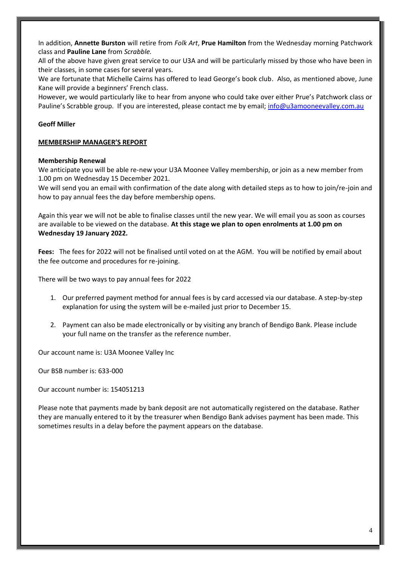In addition, **Annette Burston** will retire from *Folk Art*, **Prue Hamilton** from the Wednesday morning Patchwork class and **Pauline Lane** from *Scrabble.* 

All of the above have given great service to our U3A and will be particularly missed by those who have been in their classes, in some cases for several years.

We are fortunate that Michelle Cairns has offered to lead George's book club. Also, as mentioned above, June Kane will provide a beginners' French class.

However, we would particularly like to hear from anyone who could take over either Prue's Patchwork class or Pauline's Scrabble group. If you are interested, please contact me by email; [info@u3amooneevalley.com.au](mailto:info@u3amooneevalley.com.au)

## **Geoff Miller**

## **MEMBERSHIP MANAGER'S REPORT**

## **Membership Renewal**

We anticipate you will be able re-new your U3A Moonee Valley membership, or join as a new member from 1.00 pm on Wednesday 15 December 2021.

We will send you an email with confirmation of the date along with detailed steps as to how to join/re-join and how to pay annual fees the day before membership opens.

Again this year we will not be able to finalise classes until the new year. We will email you as soon as courses are available to be viewed on the database. **At this stage we plan to open enrolments at 1.00 pm on Wednesday 19 January 2022.** 

**Fees:** The fees for 2022 will not be finalised until voted on at the AGM. You will be notified by email about the fee outcome and procedures for re-joining.

There will be two ways to pay annual fees for 2022

- 1. Our preferred payment method for annual fees is by card accessed via our database. A step-by-step explanation for using the system will be e-mailed just prior to December 15.
- 2. Payment can also be made electronically or by visiting any branch of Bendigo Bank. Please include your full name on the transfer as the reference number.

Our account name is: U3A Moonee Valley Inc

Our BSB number is: 633-000

Our account number is: 154051213

Please note that payments made by bank deposit are not automatically registered on the database. Rather they are manually entered to it by the treasurer when Bendigo Bank advises payment has been made. This sometimes results in a delay before the payment appears on the database.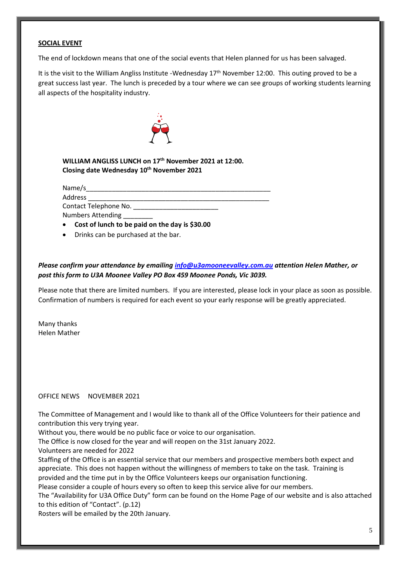## **SOCIAL EVENT**

The end of lockdown means that one of the social events that Helen planned for us has been salvaged.

It is the visit to the William Angliss Institute -Wednesday 17<sup>th</sup> November 12:00. This outing proved to be a great success last year. The lunch is preceded by a tour where we can see groups of working students learning all aspects of the hospitality industry.



**WILLIAM ANGLISS LUNCH on 17th [Novem](https://creativecommons.org/licenses/by/3.0/)ber 2021 at 12:00. Closing date Wednesd[ay 10](https://creativecommons.org/licenses/by/3.0/)th November 2021**

Name/s\_\_\_\_\_\_\_\_\_\_\_\_\_\_\_\_\_\_\_\_\_\_\_\_\_\_\_\_\_\_\_\_\_\_\_\_\_\_\_\_\_\_\_\_\_\_\_\_\_\_

Address \_\_\_\_\_\_\_\_\_\_\_\_\_\_\_\_\_\_\_\_\_\_\_\_\_\_\_\_\_\_\_\_\_\_\_\_\_\_\_\_\_\_\_\_\_\_\_\_\_ Contact Telephone No. \_\_\_\_\_\_\_\_\_\_\_\_\_\_\_\_\_\_\_\_\_\_\_ Numbers Attending \_\_\_\_\_\_\_\_

• **Cost of lunch to be paid on the day is \$30.00** 

• Drinks can be purchased at the bar.

*Please confirm your attendance by emailing [info@u3amooneevalley.com.au](mailto:info@u3amooneevalley.com.au) attention Helen Mather, or post this form to U3A Moonee Valley PO Box 459 Moonee Ponds, Vic 3039.*

Please note that there are limited numbers. If you are interested, please lock in your place as soon as possible. Confirmation of numbers is required for each event so your early response will be greatly appreciated.

Many thanks Helen Mather

## OFFICE NEWS NOVEMBER 2021

The Committee of Management and I would like to thank all of the Office Volunteers for their patience and contribution this very trying year.

Without you, there would be no public face or voice to our organisation.

The Office is now closed for the year and will reopen on the 31st January 2022.

Volunteers are needed for 2022

Staffing of the Office is an essential service that our members and prospective members both expect and appreciate. This does not happen without the willingness of members to take on the task. Training is provided and the time put in by the Office Volunteers keeps our organisation functioning.

Please consider a couple of hours every so often to keep this service alive for our members.

The "Availability for U3A Office Duty" form can be found on the Home Page of our website and is also attached to this edition of "Contact". (p.12)

Rosters will be emailed by the 20th January.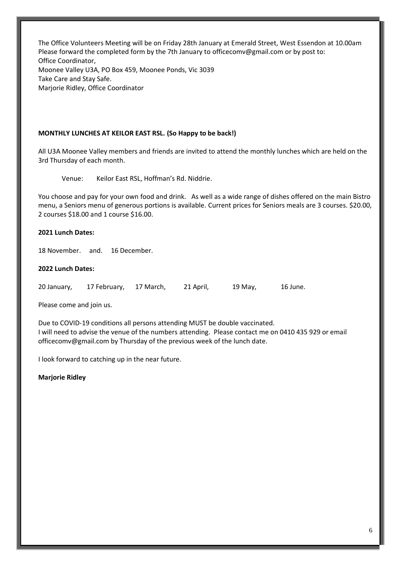The Office Volunteers Meeting will be on Friday 28th January at Emerald Street, West Essendon at 10.00am Please forward the completed form by the 7th January to [officecomv@gmail.com](mailto:officecomv@gmail.com) or by post to: Office Coordinator, Moonee Valley U3A, PO Box 459, Moonee Ponds, Vic 3039 Take Care and Stay Safe. Marjorie Ridley, Office Coordinator

## **MONTHLY LUNCHES AT KEILOR EAST RSL. (So Happy to be back!)**

All U3A Moonee Valley members and friends are invited to attend the monthly lunches which are held on the 3rd Thursday of each month.

Venue: Keilor East RSL, Hoffman's Rd. Niddrie.

You choose and pay for your own food and drink. As well as a wide range of dishes offered on the main Bistro menu, a Seniors menu of generous portions is available. Current prices for Seniors meals are 3 courses. \$20.00, 2 courses \$18.00 and 1 course \$16.00.

## **2021 Lunch Dates:**

18 November. and. 16 December.

## **2022 Lunch Dates:**

20 January, 17 February, 17 March, 21 April, 19 May, 16 June.

Please come and join us.

Due to COVID-19 conditions all persons attending MUST be double vaccinated. I will need to advise the venue of the numbers attending. Please contact me on 0410 435 929 or email officecomv@gmail.com by Thursday of the previous week of the lunch date.

I look forward to catching up in the near future.

**Marjorie Ridley**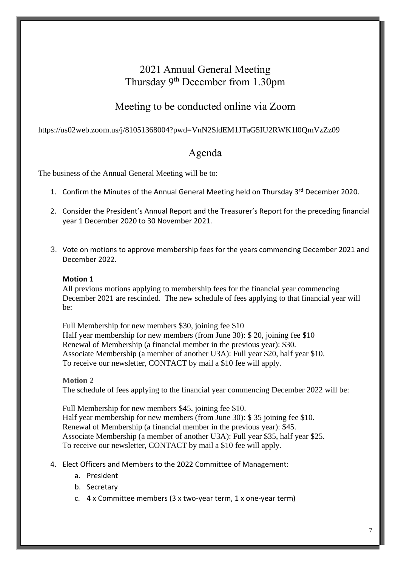# 2021 Annual General Meeting Thursday 9<sup>th</sup> December from 1.30pm

# Meeting to be conducted online via Zoom

## https://us02web.zoom.us/j/81051368004?pwd=VnN2SldEM1JTaG5IU2RWK1l0QmVzZz09

## Agenda

The business of the Annual General Meeting will be to:

- 1. Confirm the Minutes of the Annual General Meeting held on Thursday 3<sup>rd</sup> December 2020.
- 2. Consider the President's Annual Report and the Treasurer's Report for the preceding financial year 1 December 2020 to 30 November 2021.
- 3. Vote on motions to approve membership fees for the years commencing December 2021 and December 2022.

## **Motion 1**

All previous motions applying to membership fees for the financial year commencing December 2021 are rescinded. The new schedule of fees applying to that financial year will be:

Full Membership for new members \$30, joining fee \$10 Half year membership for new members (from June 30): \$ 20, joining fee \$10 Renewal of Membership (a financial member in the previous year): \$30. Associate Membership (a member of another U3A): Full year \$20, half year \$10. To receive our newsletter, CONTACT by mail a \$10 fee will apply.

## **Motion 2**

The schedule of fees applying to the financial year commencing December 2022 will be:

Full Membership for new members \$45, joining fee \$10. Half year membership for new members (from June 30): \$ 35 joining fee \$10. Renewal of Membership (a financial member in the previous year): \$45. Associate Membership (a member of another U3A): Full year \$35, half year \$25. To receive our newsletter, CONTACT by mail a \$10 fee will apply.

- 4. Elect Officers and Members to the 2022 Committee of Management:
	- a. President
	- b. Secretary
	- c. 4 x Committee members (3 x two-year term, 1 x one-year term)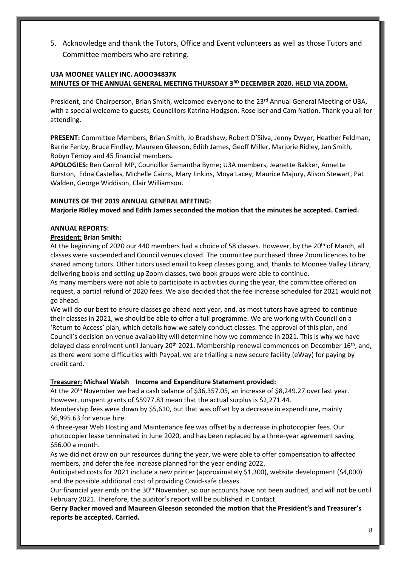5. Acknowledge and thank the Tutors, Office and Event volunteers as well as those Tutors and Committee members who are retiring.

## **U3A MOONEE VALLEY INC. AOOO34837K MINUTES OF THE ANNUAL GENERAL MEETING THURSDAY 3RD DECEMBER 2020. HELD VIA ZOOM.**

President, and Chairperson, Brian Smith, welcomed everyone to the 23<sup>rd</sup> Annual General Meeting of U3A, with a special welcome to guests, Councillors Katrina Hodgson. Rose Iser and Cam Nation. Thank you all for attending.

**PRESENT:** Committee Members, Brian Smith, Jo Bradshaw, Robert D'Silva, Jenny Dwyer, Heather Feldman, Barrie Fenby, Bruce Findlay, Maureen Gleeson, Edith James, Geoff Miller, Marjorie Ridley, Jan Smith, Robyn Temby and 45 financial members.

**APOLOGIES:** Ben Carroll MP, Councillor Samantha Byrne; U3A members, Jeanette Bakker, Annette Burston, Edna Castellas, Michelle Cairns, Mary Jinkins, Moya Lacey, Maurice Majury, Alison Stewart, Pat Walden, George Widdison, Clair Williamson.

## **MINUTES OF THE 2019 ANNUAL GENERAL MEETING:**

**Marjorie Ridley moved and Edith James seconded the motion that the minutes be accepted. Carried.**

## **ANNUAL REPORTS:**

## **President: Brian Smith:**

At the beginning of 2020 our 440 members had a choice of 58 classes. However, by the 20<sup>th</sup> of March, all classes were suspended and Council venues closed. The committee purchased three Zoom licences to be shared among tutors. Other tutors used email to keep classes going, and, thanks to Moonee Valley Library, delivering books and setting up Zoom classes, two book groups were able to continue.

As many members were not able to participate in activities during the year, the committee offered on request, a partial refund of 2020 fees. We also decided that the fee increase scheduled for 2021 would not go ahead.

We will do our best to ensure classes go ahead next year, and, as most tutors have agreed to continue their classes in 2021, we should be able to offer a full programme. We are working with Council on a 'Return to Access' plan, which details how we safely conduct classes. The approval of this plan, and Council's decision on venue availability will determine how we commence in 2021. This is why we have delayed class enrolment until January 20<sup>th</sup> 2021. Membership renewal commences on December 16<sup>th</sup>, and, as there were some difficulties with Paypal, we are trialling a new secure facility (eWay) for paying by credit card.

## **Treasurer: Michael Walsh Income and Expenditure Statement provided:**

At the 20<sup>th</sup> November we had a cash balance of \$36,357.05, an increase of \$8,249.27 over last year. However, unspent grants of \$5977.83 mean that the actual surplus is \$2,271.44.

Membership fees were down by \$5,610, but that was offset by a decrease in expenditure, mainly \$6,995.63 for venue hire.

A three-year Web Hosting and Maintenance fee was offset by a decrease in photocopier fees. Our photocopier lease terminated in June 2020, and has been replaced by a three-year agreement saving \$56.00 a month.

As we did not draw on our resources during the year, we were able to offer compensation to affected members, and defer the fee increase planned for the year ending 2022.

Anticipated costs for 2021 include a new printer (approximately \$1,300), website development (\$4,000) and the possible additional cost of providing Covid-safe classes.

Our financial year ends on the 30th November, so our accounts have not been audited, and will not be until February 2021. Therefore, the auditor's report will be published in Contact.

**Gerry Backer moved and Maureen Gleeson seconded the motion that the President's and Treasurer's reports be accepted. Carried.**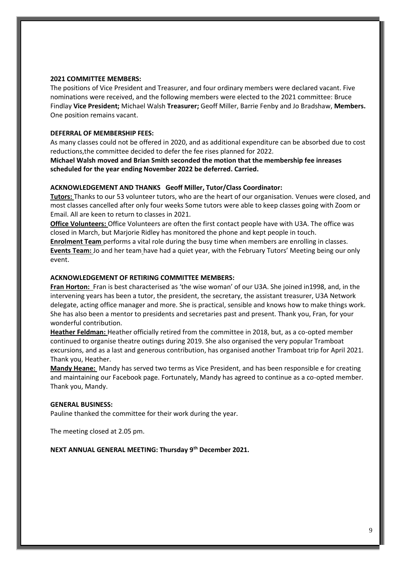## **2021 COMMITTEE MEMBERS:**

The positions of Vice President and Treasurer, and four ordinary members were declared vacant. Five nominations were received, and the following members were elected to the 2021 committee: Bruce Findlay **Vice President;** Michael Walsh **Treasurer;** Geoff Miller, Barrie Fenby and Jo Bradshaw, **Members.** One position remains vacant.

## **DEFERRAL OF MEMBERSHIP FEES:**

As many classes could not be offered in 2020, and as additional expenditure can be absorbed due to cost reductions,the committee decided to defer the fee rises planned for 2022.

**Michael Walsh moved and Brian Smith seconded the motion that the membership fee inreases scheduled for the year ending November 2022 be deferred. Carried.**

## **ACKNOWLEDGEMENT AND THANKS Geoff Miller, Tutor/Class Coordinator:**

**Tutors:** Thanks to our 53 volunteer tutors, who are the heart of our organisation. Venues were closed, and most classes cancelled after only four weeks Some tutors were able to keep classes going with Zoom or Email. All are keen to return to classes in 2021.

**Office Volunteers:** Office Volunteers are often the first contact people have with U3A. The office was closed in March, but Marjorie Ridley has monitored the phone and kept people in touch.

**Enrolment Team** performs a vital role during the busy time when members are enrolling in classes. **Events Team:** Jo and her team have had a quiet year, with the February Tutors' Meeting being our only event.

## **ACKNOWLEDGEMENT OF RETIRING COMMITTEE MEMBERS:**

**Fran Horton:** Fran is best characterised as 'the wise woman' of our U3A. She joined in1998, and, in the intervening years has been a tutor, the president, the secretary, the assistant treasurer, U3A Network delegate, acting office manager and more. She is practical, sensible and knows how to make things work. She has also been a mentor to presidents and secretaries past and present. Thank you, Fran, for your wonderful contribution.

**Heather Feldman:** Heather officially retired from the committee in 2018, but, as a co-opted member continued to organise theatre outings during 2019. She also organised the very popular Tramboat excursions, and as a last and generous contribution, has organised another Tramboat trip for April 2021. Thank you, Heather.

**Mandy Heane:** Mandy has served two terms as Vice President, and has been responsible e for creating and maintaining our Facebook page. Fortunately, Mandy has agreed to continue as a co-opted member. Thank you, Mandy.

## **GENERAL BUSINESS:**

Pauline thanked the committee for their work during the year.

The meeting closed at 2.05 pm.

**NEXT ANNUAL GENERAL MEETING: Thursday 9th December 2021.**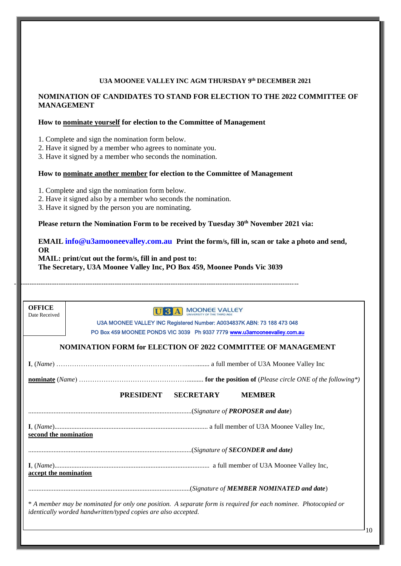## **U3A MOONEE VALLEY INC AGM THURSDAY 9 th DECEMBER 2021**

## **NOMINATION OF CANDIDATES TO STAND FOR ELECTION TO THE 2022 COMMITTEE OF MANAGEMENT**

## **How to nominate yourself for election to the Committee of Management**

1. Complete and sign the nomination form below.

2. Have it signed by a member who agrees to nominate you.

3. Have it signed by a member who seconds the nomination.

## **How to nominate another member for election to the Committee of Management**

1. Complete and sign the nomination form below.

2. Have it signed also by a member who seconds the nomination.

3. Have it signed by the person you are nominating.

**Please return the Nomination Form to be received by Tuesday 30th November 2021 via:**

## **EMAIL info@u3amooneevalley.com.au Print the form/s, fill in, scan or take a photo and send, OR**

**MAIL: print/cut out the form/s, fill in and post to: The Secretary, U3A Moonee Valley Inc, PO Box 459, Moonee Ponds Vic 3039**

-------------------------------------------------------------------------------------------------------------------------------

| <b>OFFICE</b><br>Date Received | <b>U 3 A MOONEE VALLEY</b>                                                                                                                                                        |  |  |  |  |
|--------------------------------|-----------------------------------------------------------------------------------------------------------------------------------------------------------------------------------|--|--|--|--|
|                                | U3A MOONEE VALLEY INC Registered Number: A0034837K ABN: 73 188 473 048                                                                                                            |  |  |  |  |
|                                | PO Box 459 MOONEE PONDS VIC 3039 Ph 9337 7779 www.u3amooneevalley.com.au                                                                                                          |  |  |  |  |
|                                | NOMINATION FORM for ELECTION OF 2022 COMMITTEE OF MANAGEMENT                                                                                                                      |  |  |  |  |
|                                |                                                                                                                                                                                   |  |  |  |  |
|                                |                                                                                                                                                                                   |  |  |  |  |
|                                | PRESIDENT<br><b>SECRETARY</b><br><b>MEMBER</b>                                                                                                                                    |  |  |  |  |
|                                |                                                                                                                                                                                   |  |  |  |  |
| second the nomination          |                                                                                                                                                                                   |  |  |  |  |
|                                | (Signature of <b>SECONDER</b> and date)                                                                                                                                           |  |  |  |  |
| accept the nomination          |                                                                                                                                                                                   |  |  |  |  |
|                                |                                                                                                                                                                                   |  |  |  |  |
|                                | * A member may be nominated for only one position. A separate form is required for each nominee. Photocopied or<br>identically worded handwritten/typed copies are also accepted. |  |  |  |  |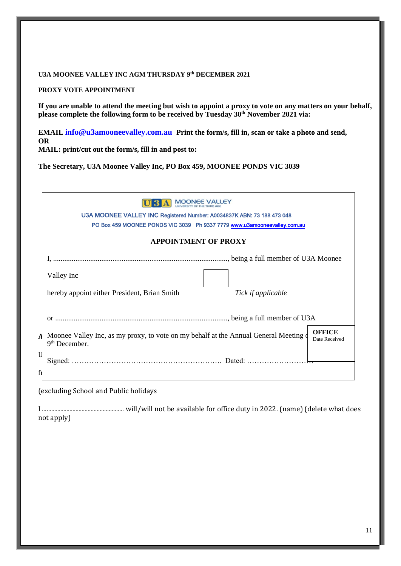#### **U3A MOONEE VALLEY INC AGM THURSDAY 9 th DECEMBER 2021**

**PROXY VOTE APPOINTMENT**

**If you are unable to attend the meeting but wish to appoint a proxy to vote on any matters on your behalf, please complete the following form to be received by Tuesday 30th November 2021 via:**

**EMAIL info@u3amooneevalley.com.au Print the form/s, fill in, scan or take a photo and send, OR** 

**MAIL: print/cut out the form/s, fill in and post to:**

**The Secretary, U3A Moonee Valley Inc, PO Box 459, MOONEE PONDS VIC 3039**

|    | <b>MOONEE VALLEY</b><br>U3A MOONEE VALLEY INC Registered Number: A0034837K ABN: 73 188 473 048<br>PO Box 459 MOONEE PONDS VIC 3039 Ph 9337 7779 www.u3amooneevalley.com.au |  |  |
|----|----------------------------------------------------------------------------------------------------------------------------------------------------------------------------|--|--|
|    | <b>APPOINTMENT OF PROXY</b>                                                                                                                                                |  |  |
|    |                                                                                                                                                                            |  |  |
|    | Valley Inc                                                                                                                                                                 |  |  |
|    | hereby appoint either President, Brian Smith<br>Tick if applicable                                                                                                         |  |  |
|    |                                                                                                                                                                            |  |  |
|    | <b>OFFICE</b><br>Moonee Valley Inc, as my proxy, to vote on my behalf at the Annual General Meeting of<br>Date Received<br>$9th$ December.                                 |  |  |
|    |                                                                                                                                                                            |  |  |
| fi |                                                                                                                                                                            |  |  |

(excluding School and Public holidays

I ...................................................... will/will not be available for office duty in 2022. (name) (delete what does not apply)